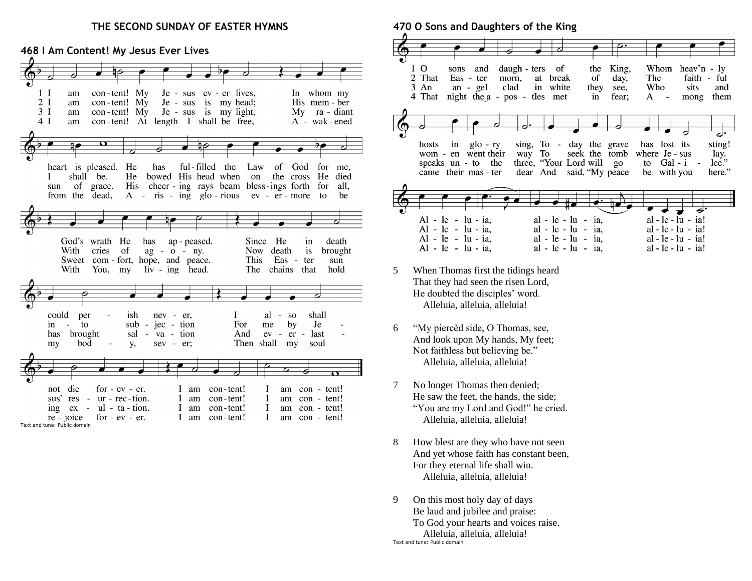#### **THE SECOND SUNDAY OF EASTER HYMNS**

#### **468 I Am Content! My Jesus Ever Lives**  $1<sub>l</sub>$ con-tent! My Je - sus ev - er lives, In whom my am  $2I$ am  $con$ -tent! My Je - sus is my head: His mem - ber  $3<sub>1</sub>$ am  $con$ -tent! My Je - sus is my light, Mv. ra - diant  $4I$ con-tent! At length I shall be free,  $A - wak$  - ened am  $\overline{\mathbf{v}}$ heart is pleased. He has ful-filled the Law of God for me, shall be. He bowed His head when on the cross He died L His cheer - ing rays beam bless-ings forth for sun of grace. all. from the dead,  $A - ris - ing glo - rious ev - er - more to$ be God's wrath He Since He death has ap - peased. in With cries - of ag - o - ny. Now death is brought Sweet com - fort, hope, and peace. **This** Eas - ter sun With You, my  $\hbox{liv}$  -  $\hbox{ing}$ head. The chains that hold could per ish  $al - so$ shall nev - er, T jec - tion by Je in  $\sim$ to  $sub -$ For me has brought sal  $\sim$ va - tion And  $ev - er$ last  $\overline{\phantom{a}}$ bod **y**, sev - er; Then shall my soul my not die for  $-ev$   $-er$ . I am con-tent!  $\mathbf{I}$ am con - tent! sus' res - ur - rec-tion. con-tent!  $\bf{I}$ am con - tent! I am  $\bf{I}$ ing  $ex - ul - ta - tion$ . I am con-tent! am con - tent! re - joice for  $-ev$   $-er$ . I am con-tent!  $\mathbf{I}$ am con - tent!

Text and tune: Public domain

**470 O Sons and Daughters of the King**



- 5 When Thomas first the tidings heard That they had seen the risen Lord, He doubted the disciples' word. Alleluia, alleluia, alleluia!
- 6 "My piercèd side, O Thomas, see, And look upon My hands, My feet; Not faithless but believing be." Alleluia, alleluia, alleluia!
- 7 No longer Thomas then denied; He saw the feet, the hands, the side; "You are my Lord and God!" he cried. Alleluia, alleluia, alleluia!
- 8 How blest are they who have not seen And yet whose faith has constant been, For they eternal life shall win. Alleluia, alleluia, alleluia!
- 9 On this most holy day of days Be laud and jubilee and praise: To God your hearts and voices raise. Alleluia, alleluia, alleluia! Text and tune: Public domain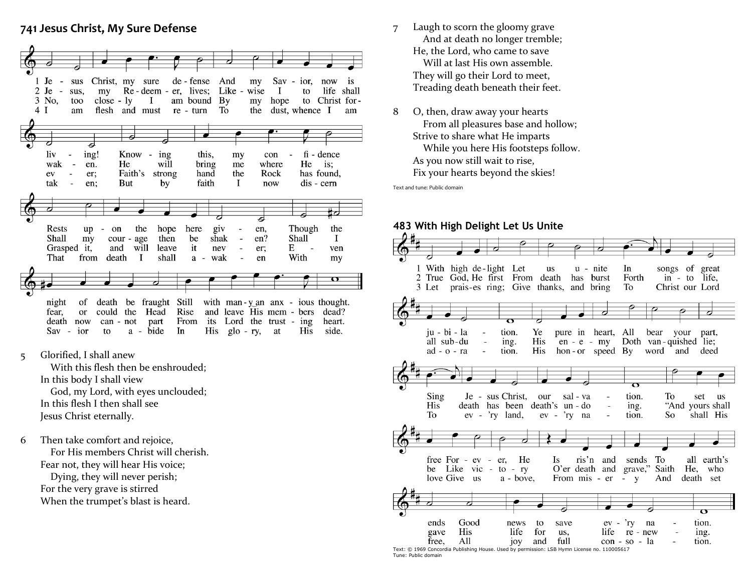## **741 Jesus Christ, My Sure Defense**



5 Glorified, I shall anew

 With this flesh then be enshrouded; In this body I shall view God, my Lord, with eyes unclouded; In this flesh I then shall see Jesus Christ eternally.

6 Then take comfort and rejoice, For His members Christ will cherish. Fear not, they will hear His voice; Dying, they will never perish; For the very grave is stirred When the trumpet's blast is heard.

- 7 Laugh to scorn the gloomy grave And at death no longer tremble; He, the Lord, who came to save Will at last His own assemble. They will go their Lord to meet, Treading death beneath their feet.
- 8 O, then, draw away your hearts From all pleasures base and hollow; Strive to share what He imparts While you here His footsteps follow. As you now still wait to rise, Fix your hearts beyond the skies!

Text and tune: Public domain

## **483 With High Delight Let Us Unite**

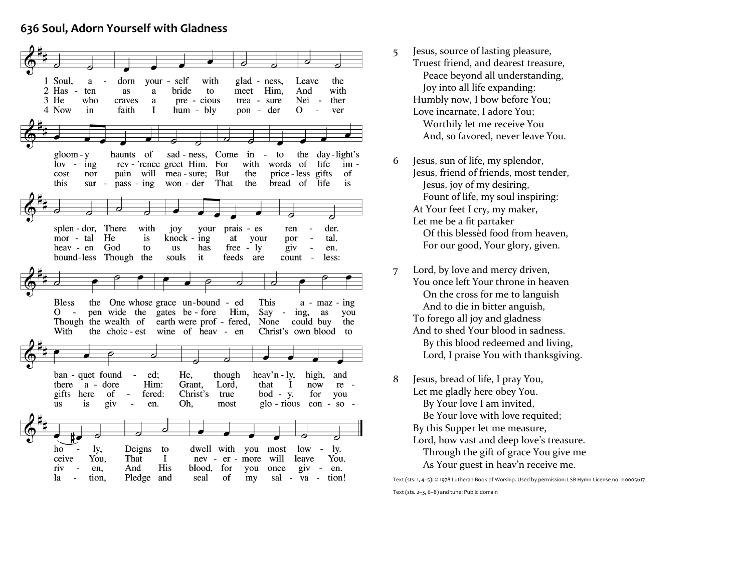# **636 Soul, Adorn Yourself with Gladness**



- 5 Jesus, source of lasting pleasure, Truest friend, and dearest treasure, Peace beyond all understanding, Joy into all life expanding: Humbly now, I bow before You; Love incarnate, I adore You; Worthily let me receive You And, so favored, never leave You.
- 6 Jesus, sun of life, my splendor, Jesus, friend of friends, most tender, Jesus, joy of my desiring, Fount of life, my soul inspiring: At Your feet I cry, my maker, Let me be a fit partaker Of this blessèd food from heaven, For our good, Your glory, given.
- 7 Lord, by love and mercy driven, You once left Your throne in heaven On the cross for me to languish And to die in bitter anguish, To forego all joy and gladness And to shed Your blood in sadness. By this blood redeemed and living, Lord, I praise You with thanksgiving.
- 8 Jesus, bread of life, I pray You, Let me gladly here obey You. By Your love I am invited, Be Your love with love requited; By this Supper let me measure, Lord, how vast and deep love's treasure. Through the gift of grace You give me As Your guest in heav'n receive me.

Text (sts. 1, 4–5): © 1978 Lutheran Book of Worship. Used by permission: LSB Hymn License no. 110005617 Text (sts. 2–3, 6–8) and tune: Public domain